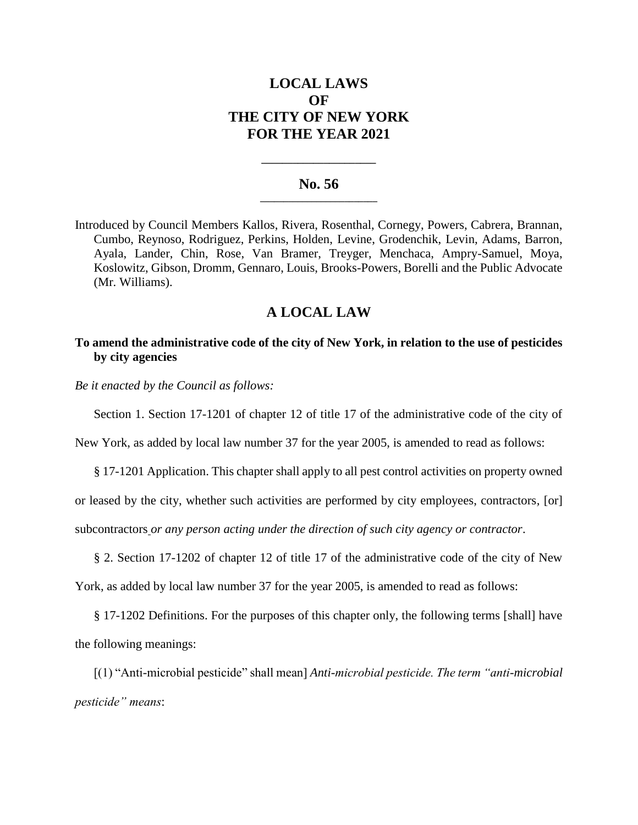# **LOCAL LAWS OF THE CITY OF NEW YORK FOR THE YEAR 2021**

#### **No. 56 \_\_\_\_\_\_\_\_\_\_\_\_\_\_\_\_\_\_\_\_\_\_\_\_\_**

**\_\_\_\_\_\_\_\_\_\_\_\_\_\_\_\_\_\_\_\_\_\_**

Introduced by Council Members Kallos, Rivera, Rosenthal, Cornegy, Powers, Cabrera, Brannan, Cumbo, Reynoso, Rodriguez, Perkins, Holden, Levine, Grodenchik, Levin, Adams, Barron, Ayala, Lander, Chin, Rose, Van Bramer, Treyger, Menchaca, Ampry-Samuel, Moya, Koslowitz, Gibson, Dromm, Gennaro, Louis, Brooks-Powers, Borelli and the Public Advocate (Mr. Williams).

## **A LOCAL LAW**

### **To amend the administrative code of the city of New York, in relation to the use of pesticides by city agencies**

*Be it enacted by the Council as follows:*

Section 1. Section 17-1201 of chapter 12 of title 17 of the administrative code of the city of

New York, as added by local law number 37 for the year 2005, is amended to read as follows:

§ 17-1201 Application. This chapter shall apply to all pest control activities on property owned

or leased by the city, whether such activities are performed by city employees, contractors*,* [or]

subcontractors *or any person acting under the direction of such city agency or contractor*.

§ 2. Section 17-1202 of chapter 12 of title 17 of the administrative code of the city of New

York, as added by local law number 37 for the year 2005, is amended to read as follows:

§ 17-1202 Definitions. For the purposes of this chapter only, the following terms [shall] have the following meanings:

[(1) "Anti-microbial pesticide" shall mean] *Anti-microbial pesticide. The term "anti-microbial pesticide" means*: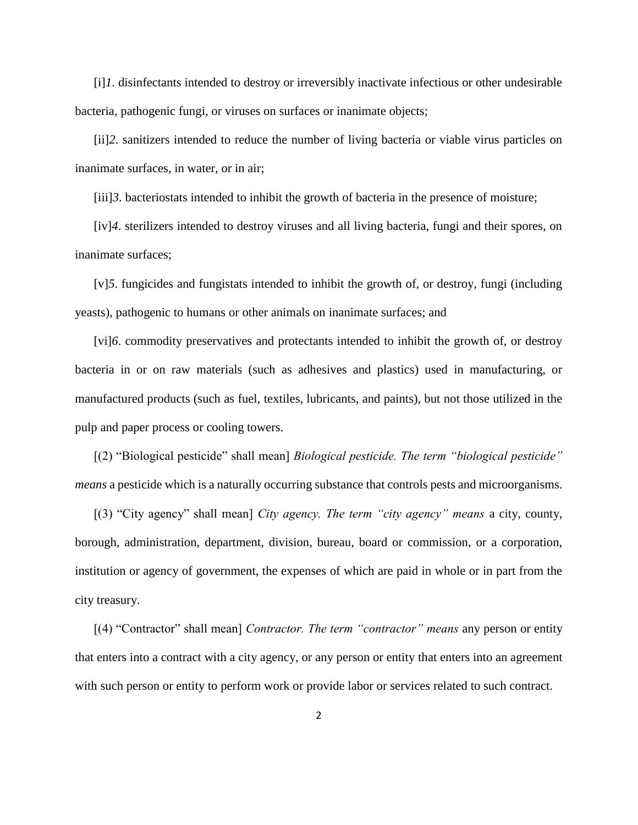[i]*1*. disinfectants intended to destroy or irreversibly inactivate infectious or other undesirable bacteria, pathogenic fungi, or viruses on surfaces or inanimate objects;

[ii]*2*. sanitizers intended to reduce the number of living bacteria or viable virus particles on inanimate surfaces, in water, or in air;

[iii]*3*. bacteriostats intended to inhibit the growth of bacteria in the presence of moisture;

[iv]*4*. sterilizers intended to destroy viruses and all living bacteria, fungi and their spores, on inanimate surfaces;

[v]*5*. fungicides and fungistats intended to inhibit the growth of, or destroy, fungi (including yeasts), pathogenic to humans or other animals on inanimate surfaces; and

[vi]*6*. commodity preservatives and protectants intended to inhibit the growth of, or destroy bacteria in or on raw materials (such as adhesives and plastics) used in manufacturing, or manufactured products (such as fuel, textiles, lubricants, and paints), but not those utilized in the pulp and paper process or cooling towers.

[(2) "Biological pesticide" shall mean] *Biological pesticide. The term "biological pesticide" means* a pesticide which is a naturally occurring substance that controls pests and microorganisms.

[(3) "City agency" shall mean] *City agency. The term "city agency" means* a city, county, borough, administration, department, division, bureau, board or commission, or a corporation, institution or agency of government, the expenses of which are paid in whole or in part from the city treasury.

[(4) "Contractor" shall mean] *Contractor. The term "contractor" means* any person or entity that enters into a contract with a city agency, or any person or entity that enters into an agreement with such person or entity to perform work or provide labor or services related to such contract.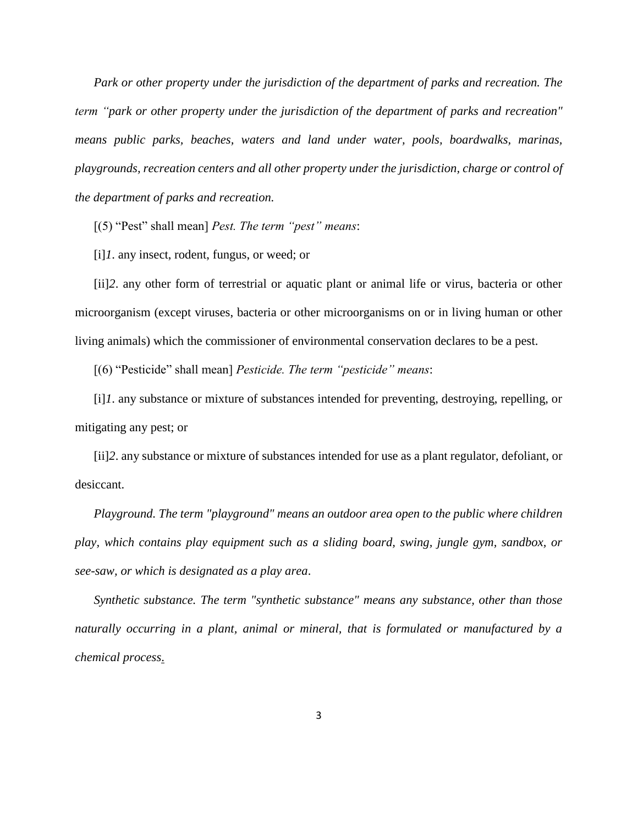*Park or other property under the jurisdiction of the department of parks and recreation. The term "park or other property under the jurisdiction of the department of parks and recreation" means public parks, beaches, waters and land under water, pools, boardwalks, marinas, playgrounds, recreation centers and all other property under the jurisdiction, charge or control of the department of parks and recreation.*

[(5) "Pest" shall mean] *Pest. The term "pest" means*:

[i]*1*. any insect, rodent, fungus, or weed; or

[ii]*2*. any other form of terrestrial or aquatic plant or animal life or virus, bacteria or other microorganism (except viruses, bacteria or other microorganisms on or in living human or other living animals) which the commissioner of environmental conservation declares to be a pest.

[(6) "Pesticide" shall mean] *Pesticide. The term "pesticide" means*:

[i]*1*. any substance or mixture of substances intended for preventing, destroying, repelling, or mitigating any pest; or

[ii]*2*. any substance or mixture of substances intended for use as a plant regulator, defoliant, or desiccant.

*Playground. The term "playground" means an outdoor area open to the public where children play, which contains play equipment such as a sliding board, swing, jungle gym, sandbox, or see-saw, or which is designated as a play area*.

*Synthetic substance. The term "synthetic substance" means any substance, other than those naturally occurring in a plant, animal or mineral, that is formulated or manufactured by a chemical process*.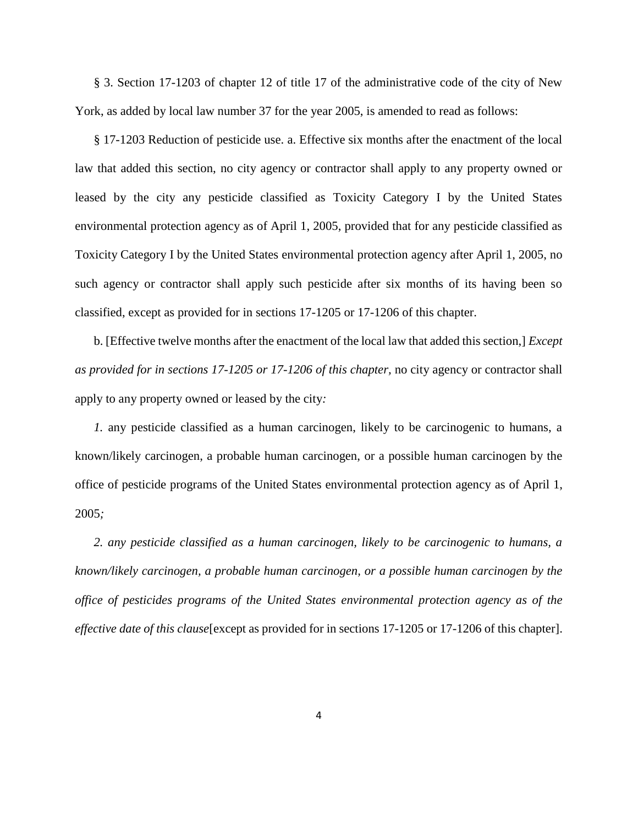§ 3. Section 17-1203 of chapter 12 of title 17 of the administrative code of the city of New York, as added by local law number 37 for the year 2005, is amended to read as follows:

§ 17-1203 Reduction of pesticide use. a. Effective six months after the enactment of the local law that added this section, no city agency or contractor shall apply to any property owned or leased by the city any pesticide classified as Toxicity Category I by the United States environmental protection agency as of April 1, 2005, provided that for any pesticide classified as Toxicity Category I by the United States environmental protection agency after April 1, 2005, no such agency or contractor shall apply such pesticide after six months of its having been so classified, except as provided for in sections 17-1205 or 17-1206 of this chapter.

b. [Effective twelve months after the enactment of the local law that added this section,] *Except as provided for in sections 17-1205 or 17-1206 of this chapter,* no city agency or contractor shall apply to any property owned or leased by the city*:* 

*1.* any pesticide classified as a human carcinogen, likely to be carcinogenic to humans, a known/likely carcinogen, a probable human carcinogen, or a possible human carcinogen by the office of pesticide programs of the United States environmental protection agency as of April 1, 2005*;*

*2. any pesticide classified as a human carcinogen, likely to be carcinogenic to humans, a known/likely carcinogen, a probable human carcinogen, or a possible human carcinogen by the office of pesticides programs of the United States environmental protection agency as of the effective date of this clause*[except as provided for in sections 17-1205 or 17-1206 of this chapter].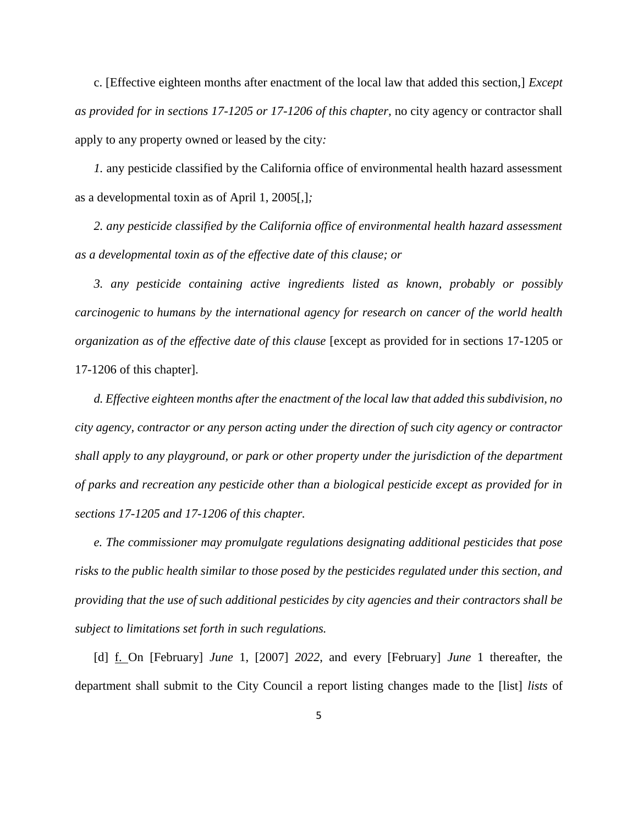c. [Effective eighteen months after enactment of the local law that added this section,] *Except as provided for in sections 17-1205 or 17-1206 of this chapter,* no city agency or contractor shall apply to any property owned or leased by the city*:*

*1.* any pesticide classified by the California office of environmental health hazard assessment as a developmental toxin as of April 1, 2005[,]*;*

*2. any pesticide classified by the California office of environmental health hazard assessment as a developmental toxin as of the effective date of this clause; or*

*3. any pesticide containing active ingredients listed as known, probably or possibly carcinogenic to humans by the international agency for research on cancer of the world health organization as of the effective date of this clause* [except as provided for in sections 17-1205 or 17-1206 of this chapter].

*d. Effective eighteen months after the enactment of the local law that added this subdivision, no city agency, contractor or any person acting under the direction of such city agency or contractor shall apply to any playground, or park or other property under the jurisdiction of the department of parks and recreation any pesticide other than a biological pesticide except as provided for in sections 17-1205 and 17-1206 of this chapter.*

*e. The commissioner may promulgate regulations designating additional pesticides that pose risks to the public health similar to those posed by the pesticides regulated under this section, and providing that the use of such additional pesticides by city agencies and their contractors shall be subject to limitations set forth in such regulations.*

[d] f. On [February] *June* 1, [2007] *2022*, and every [February] *June* 1 thereafter, the department shall submit to the City Council a report listing changes made to the [list] *lists* of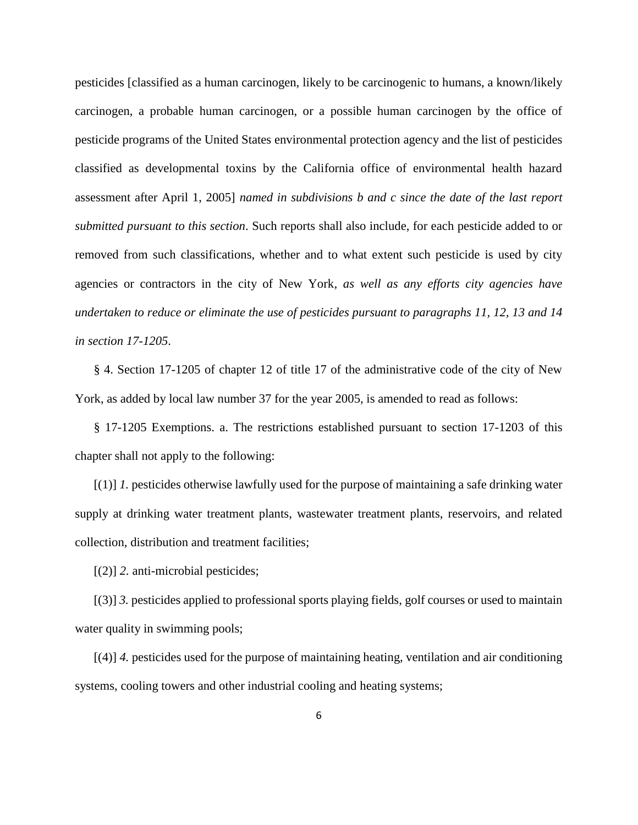pesticides [classified as a human carcinogen, likely to be carcinogenic to humans, a known/likely carcinogen, a probable human carcinogen, or a possible human carcinogen by the office of pesticide programs of the United States environmental protection agency and the list of pesticides classified as developmental toxins by the California office of environmental health hazard assessment after April 1, 2005] *named in subdivisions b and c since the date of the last report submitted pursuant to this section*. Such reports shall also include, for each pesticide added to or removed from such classifications, whether and to what extent such pesticide is used by city agencies or contractors in the city of New York*, as well as any efforts city agencies have undertaken to reduce or eliminate the use of pesticides pursuant to paragraphs 11, 12, 13 and 14 in section 17-1205*.

§ 4. Section 17-1205 of chapter 12 of title 17 of the administrative code of the city of New York, as added by local law number 37 for the year 2005, is amended to read as follows:

§ 17-1205 Exemptions. a. The restrictions established pursuant to section 17-1203 of this chapter shall not apply to the following:

[(1)] *1.* pesticides otherwise lawfully used for the purpose of maintaining a safe drinking water supply at drinking water treatment plants, wastewater treatment plants, reservoirs, and related collection, distribution and treatment facilities;

[(2)] *2.* anti-microbial pesticides;

[(3)] *3.* pesticides applied to professional sports playing fields, golf courses or used to maintain water quality in swimming pools;

[(4)] *4.* pesticides used for the purpose of maintaining heating, ventilation and air conditioning systems, cooling towers and other industrial cooling and heating systems;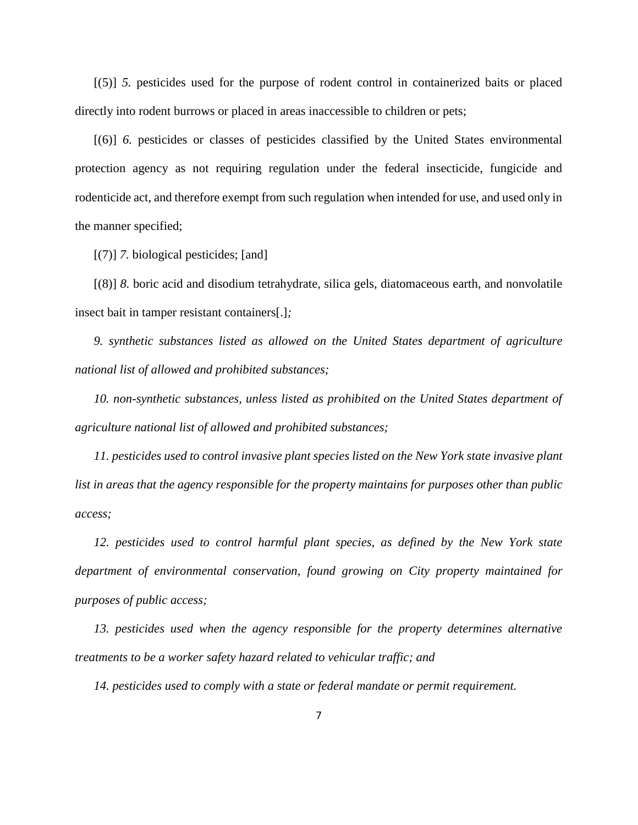[(5)] *5.* pesticides used for the purpose of rodent control in containerized baits or placed directly into rodent burrows or placed in areas inaccessible to children or pets;

[(6)] *6.* pesticides or classes of pesticides classified by the United States environmental protection agency as not requiring regulation under the federal insecticide, fungicide and rodenticide act, and therefore exempt from such regulation when intended for use, and used only in the manner specified;

[(7)] *7.* biological pesticides; [and]

[(8)] *8.* boric acid and disodium tetrahydrate, silica gels, diatomaceous earth, and nonvolatile insect bait in tamper resistant containers[.]*;*

*9. synthetic substances listed as allowed on the United States department of agriculture national list of allowed and prohibited substances;* 

*10. non-synthetic substances, unless listed as prohibited on the United States department of agriculture national list of allowed and prohibited substances;*

*11. pesticides used to control invasive plant species listed on the New York state invasive plant list in areas that the agency responsible for the property maintains for purposes other than public access;*

*12. pesticides used to control harmful plant species, as defined by the New York state department of environmental conservation, found growing on City property maintained for purposes of public access;*

*13. pesticides used when the agency responsible for the property determines alternative treatments to be a worker safety hazard related to vehicular traffic; and*

*14. pesticides used to comply with a state or federal mandate or permit requirement.*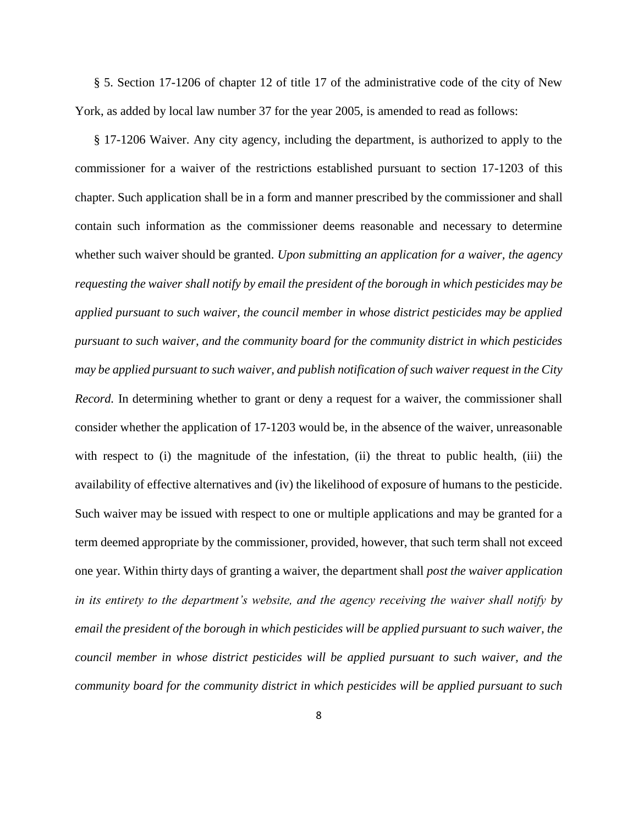§ 5. Section 17-1206 of chapter 12 of title 17 of the administrative code of the city of New York, as added by local law number 37 for the year 2005, is amended to read as follows:

§ 17-1206 Waiver. Any city agency, including the department, is authorized to apply to the commissioner for a waiver of the restrictions established pursuant to section 17-1203 of this chapter. Such application shall be in a form and manner prescribed by the commissioner and shall contain such information as the commissioner deems reasonable and necessary to determine whether such waiver should be granted. *Upon submitting an application for a waiver, the agency requesting the waiver shall notify by email the president of the borough in which pesticides may be applied pursuant to such waiver, the council member in whose district pesticides may be applied pursuant to such waiver, and the community board for the community district in which pesticides may be applied pursuant to such waiver, and publish notification of such waiver request in the City Record.* In determining whether to grant or deny a request for a waiver, the commissioner shall consider whether the application of 17-1203 would be, in the absence of the waiver, unreasonable with respect to (i) the magnitude of the infestation, (ii) the threat to public health, (iii) the availability of effective alternatives and (iv) the likelihood of exposure of humans to the pesticide. Such waiver may be issued with respect to one or multiple applications and may be granted for a term deemed appropriate by the commissioner, provided, however, that such term shall not exceed one year. Within thirty days of granting a waiver, the department shall *post the waiver application in its entirety to the department's website, and the agency receiving the waiver shall notify by email the president of the borough in which pesticides will be applied pursuant to such waiver, the council member in whose district pesticides will be applied pursuant to such waiver, and the community board for the community district in which pesticides will be applied pursuant to such*